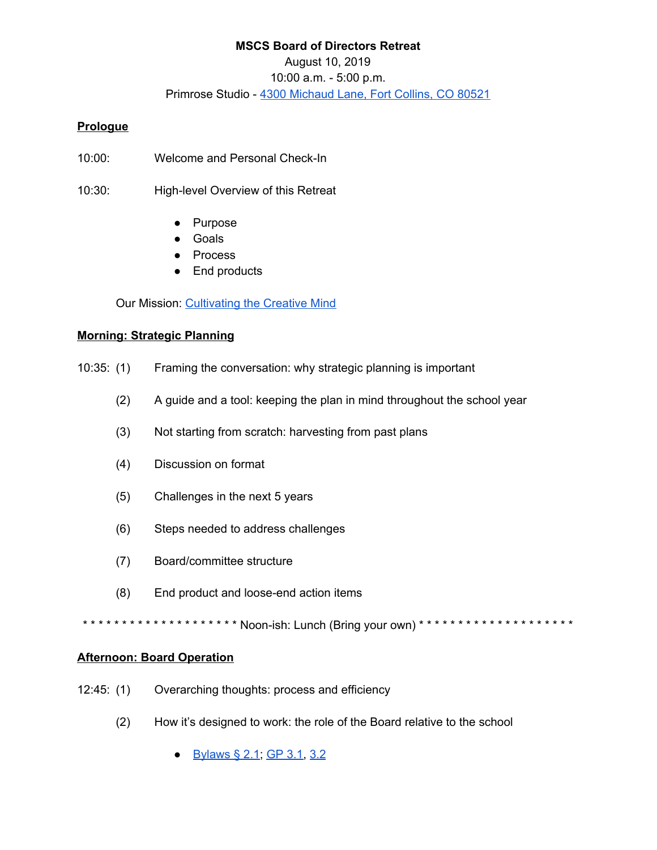# **MSCS Board of Directors Retreat** August 10, 2019 10:00 a.m. - 5:00 p.m. Primrose Studio - 4300 [Michaud](https://goo.gl/maps/iYudMkueKKtTAt8s7) Lane, Fort Collins, CO 80521

### **Prologue**

- 10:00: Welcome and Personal Check-In
- 10:30: High-level Overview of this Retreat
	- Purpose
	- Goals
	- **Process**
	- End products

Our Mission: [Cultivating](http://www.mountainsage.org/mission-and-vision.html) the Creative Mind

#### **Morning: Strategic Planning**

- 10:35: (1) Framing the conversation: why strategic planning is important
	- (2) A guide and a tool: keeping the plan in mind throughout the school year
	- (3) Not starting from scratch: harvesting from past plans
	- (4) Discussion on format
	- (5) Challenges in the next 5 years
	- (6) Steps needed to address challenges
	- (7) Board/committee structure
	- (8) End product and loose-end action items

\*\*\*\*\*\*\*\*\*\*\*\*\*\*\*\*\*\*\*\*\* Noon-ish: Lunch (Bring your own) \*\*\*\*\*\*\*\*\*\*\*\*\*\*\*\*\*\*\*\*\*\*

#### **Afternoon: Board Operation**

- 12:45: (1) Overarching thoughts: process and efficiency
	- (2) How it's designed to work: the role of the Board relative to the school
		- [Bylaws](https://docs.google.com/document/d/1GUAkOMKgoAFg3fQ8wofZJ0Syml1wOjNPEp8sCpAqpgk/edit) § 2.1; [GP](https://docs.google.com/document/d/1NonFAZjQqrgk3QgqYytescPeinFAJlvsinSFU_gML5Q/edit) 3.1, [3.2](https://docs.google.com/document/d/1hnkmTRt9MDSaMV_ZQoyMefFZinry9VycskNaaV3UnGE/edit)